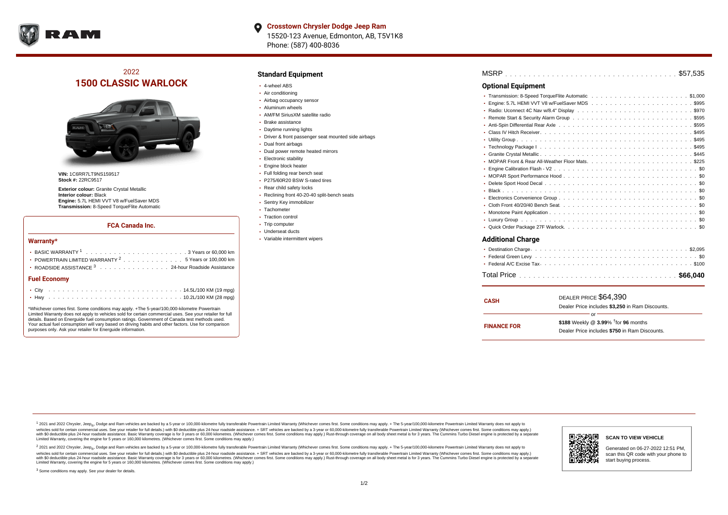

**Crosstown Chrysler Dodge Jeep Ram** O 15520-123 Avenue, Edmonton, AB, T5V1K8 Phone: (587) 400-8036

# 2022 **1500 CLASSIC WARLOCK**



**VIN:** 1C6RR7LT9NS159517 **Stock #:** 22RC9517

**Exterior colour:** Granite Crystal Metallic **Interior colour:** Black **Engine:** 5.7L HEMI VVT V8 w/FuelSaver MDS **Transmission:** 8-Speed TorqueFlite Automatic

#### **FCA Canada Inc.**

#### **Warranty\***

| POWERTRAIN LIMITED WARRANTY $2, \ldots, \ldots, \ldots, \ldots, 5$ Years or 100,000 km |  |  |  |  |  |
|----------------------------------------------------------------------------------------|--|--|--|--|--|
| • ROADSIDE ASSISTANCE 3 24-hour Roadside Assistance                                    |  |  |  |  |  |
| <b>Fuel Economy</b>                                                                    |  |  |  |  |  |
|                                                                                        |  |  |  |  |  |

\*Whichever comes first. Some conditions may apply. +The 5-year/100,000-kilometre Powertrain Limited Warranty does not apply to vehicles sold for certain commercial uses. See your retailer for full details. Based on Energuide fuel consumption ratings. Government of Canada test methods used. Your actual fuel consumption will vary based on driving habits and other factors. Use for comparison purposes only. Ask your retailer for Energuide information.

. . . . . . . . . . . . . . . . . . . . . . . . . . . . . . . . . . . . . . . . . . . Hwy 10.2L/100 KM (28 mpg)

## **Standard Equipment**

- 4-wheel ABS
- Air conditioning
- Airbag occupancy sensor
- Aluminum wheels
- AM/FM SiriusXM satellite radio
- Brake assistance
- Daytime running lights
- Driver & front passenger seat mounted side airbags
- Dual front airbags
- Dual power remote heated mirrors
- Electronic stability
- Engine block heater
- Full folding rear bench seat
- P275/60R20 BSW S-rated tires
- Rear child safety locks
- Reclining front 40-20-40 split-bench seats
- Sentry Key immobilizer
- Tachometer
- Traction control
- Trip computer Underseat ducts
- Variable intermittent wipers

. . . . . . . . . . . . . . . . . . . . . . . . . . . . . . . . . . . . . . . . . . . . . . MSRP \$57,535 . . . . . . . . . . . . . . . . . . . . . . . . . . . . . . . . . . . . . . . . . . . . . . Transmission: 8-Speed TorqueFlite Automatic \$1,000 Engine: 5.7L HEMI VVT V8 w/FuelSaver MDS  $\ldots \ldots \ldots \ldots \ldots \ldots \ldots \ldots \ldots \ldots$ . . . . . . . . . . . . . . . . . . . . . . . . . . . . . . . . . . . . . . . . . . . . . . Radio: Uconnect 4C Nav w/8.4" Display \$970 Remote Start & Security Alarm Group  $\ldots \ldots \ldots \ldots \ldots \ldots \ldots \ldots \ldots \ldots \ldots$ \$595 Anti-Spin Differential Rear Axle ................................5595 . . . . . . . . . . . . . . . . . . . . . . . . . . . . . . . . . . . . . . . . . . . . . . Class IV Hitch Receiver \$495 . . . . . . . . . . . . . . . . . . . . . . . . . . . . . . . . . . . . . . . . . . . . . . Utility Group \$495 . . . . . . . . . . . . . . . . . . . . . . . . . . . . . . . . . . . . . . . . . . . . . . Technology Package I \$495 . . . . . . . . . . . . . . . . . . . . . . . . . . . . . . . . . . . . . . . . . . . . . . Granite Crystal Metallic \$445 . . . . . . . . . . . . . . . . . . . . . . . . . . . . . . . . . . . . . . . . . . . . . . MOPAR Front & Rear All-Weather Floor Mats \$225 . . . . . . . . . . . . . . . . . . . . . . . . . . . . . . . . . . . . . . . . . . . . . . Engine Calibration Flash - V2 \$0 MOPAR Sport Performance Hood  $\ldots \ldots \ldots \ldots \ldots \ldots \ldots \ldots \ldots \ldots \ldots \ldots \, \text{S0}$ . . . . . . . . . . . . . . . . . . . . . . . . . . . . . . . . . . . . . . . . . . . . . . Delete Sport Hood Decal \$0 . . . . . . . . . . . . . . . . . . . . . . . . . . . . . . . . . . . . . . . . . . . . . . Black \$0 . . . . . . . . . . . . . . . . . . . . . . . . . . . . . . . . . . . . . . . . . . . . . . Electronics Convenience Group \$0 . . . . . . . . . . . . . . . . . . . . . . . . . . . . . . . . . . . . . . . . . . . . . . Cloth Front 40/20/40 Bench Seat \$0 . . . . . . . . . . . . . . . . . . . . . . . . . . . . . . . . . . . . . . . . . . . . . . Monotone Paint Application \$0 . . . . . . . . . . . . . . . . . . . . . . . . . . . . . . . . . . . . . . . . . . . . . . Luxury Group \$0 . . . . . . . . . . . . . . . . . . . . . . . . . . . . . . . . . . . . . . . . . . . . . . Quick Order Package 27F Warlock \$0 **Optional Equipment Additional Charge**

| <b>CASH</b>        | DEALER PRICE \$64,390                              |  |  |  |  |
|--------------------|----------------------------------------------------|--|--|--|--|
|                    | Dealer Price includes \$3.250 in Ram Discounts.    |  |  |  |  |
| Ωr                 |                                                    |  |  |  |  |
| <b>FINANCE FOR</b> | \$188 Weekly @ $3.99\%$ <sup>†</sup> for 96 months |  |  |  |  |
|                    | Dealer Price includes \$750 in Ram Discounts.      |  |  |  |  |
|                    |                                                    |  |  |  |  |

<sup>1</sup> 2021 and 2022 Chrysler, Jeep<sub>®</sub>, Dodge and Ram vehicles are backed by a 5-year or 100,000-kilometre fully transferable Powertrain Limited Warranty (Whichever comes first. Some conditions may apply. + The 5-year/100,000 vehicles sold for certain commercial uses. See your retailer for full details.) with \$0 deductible plus 24-hour madside assistance. + SRT vehicles are backed by a 3-year or 60.000-kilometre fully transferable Powertrain Li ventals assume that the control of the control of the control of the control of the control of the control of the control of the control of the control of the control of the control of the control of the control of the con Limited Warranty, covering the engine for 5 years or 160,000 kilometres. (Whichever comes first. Some conditions may apply.)

2 2021 and 2022 Chrysler, Jeep<sub>®</sub>, Dodge and Ram vehicles are backed by a 5-year or 100,000-kilometre fully transferable Powertrain Limited Warranty (Whichever comes first. Some conditions may apply. + The 5-year/100,000-k vehicles sold for certain commercial uses. See your retailer for full details.) with SO deductible plus 24-hour roadside assistance. + SRT vehicles are backed by a 3-year or 60.000-kilometre fully transferable Powertrain L with S0 deductible plus 24-hour roadside assistance. Basic Warranty coverage is for 3 years or 60,000 kilometres. (Whichever comes first. Some conditions may apply.) Rust-through coverage on all body sheet metal is for 3 y

<sup>3</sup> Some conditions may apply. See your dealer for details.



Generated on 06-27-2022 12:51 PM, scan this QR code with your phone to start buying process.